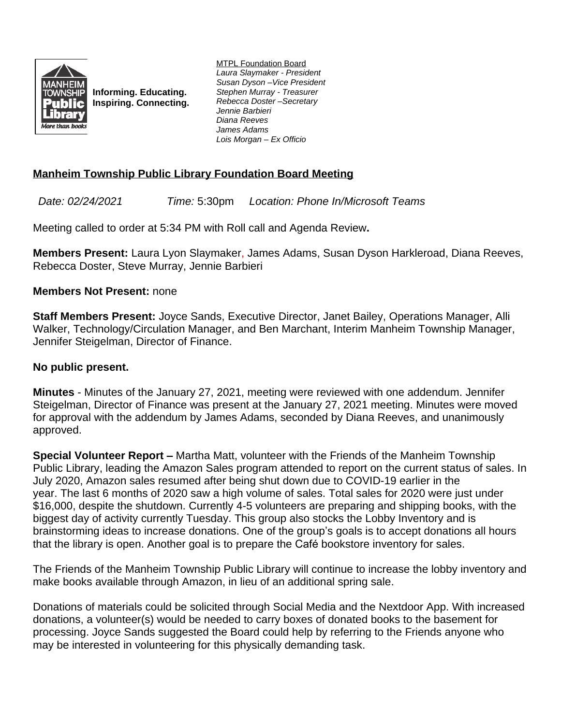

**Informing. Educating. Inspiring. Connecting.** MTPL Foundation Board *Laura Slaymaker - President Susan Dyson –Vice President Stephen Murray - Treasurer Rebecca Doster –Secretary Jennie Barbieri Diana Reeves James Adams Lois Morgan – Ex Officio*

## **Manheim Township Public Library Foundation Board Meeting**

*Date: 02/24/2021 Time:* 5:30pm *Location: Phone In/Microsoft Teams*

Meeting called to order at 5:34 PM with Roll call and Agenda Review**.**

**Members Present:** Laura Lyon Slaymaker, James Adams, Susan Dyson Harkleroad, Diana Reeves, Rebecca Doster, Steve Murray, Jennie Barbieri

## **Members Not Present:** none

**Staff Members Present:** Joyce Sands, Executive Director, Janet Bailey, Operations Manager, Alli Walker, Technology/Circulation Manager, and Ben Marchant, Interim Manheim Township Manager, Jennifer Steigelman, Director of Finance.

## **No public present.**

**Minutes** - Minutes of the January 27, 2021, meeting were reviewed with one addendum. Jennifer Steigelman, Director of Finance was present at the January 27, 2021 meeting. Minutes were moved for approval with the addendum by James Adams, seconded by Diana Reeves, and unanimously approved.

**Special Volunteer Report –** Martha Matt, volunteer with the Friends of the Manheim Township Public Library, leading the Amazon Sales program attended to report on the current status of sales. In July 2020, Amazon sales resumed after being shut down due to COVID-19 earlier in the year. The last 6 months of 2020 saw a high volume of sales. Total sales for 2020 were just under \$16,000, despite the shutdown. Currently 4-5 volunteers are preparing and shipping books, with the biggest day of activity currently Tuesday. This group also stocks the Lobby Inventory and is brainstorming ideas to increase donations. One of the group's goals is to accept donations all hours that the library is open. Another goal is to prepare the Café bookstore inventory for sales.

The Friends of the Manheim Township Public Library will continue to increase the lobby inventory and make books available through Amazon, in lieu of an additional spring sale.

Donations of materials could be solicited through Social Media and the Nextdoor App. With increased donations, a volunteer(s) would be needed to carry boxes of donated books to the basement for processing. Joyce Sands suggested the Board could help by referring to the Friends anyone who may be interested in volunteering for this physically demanding task.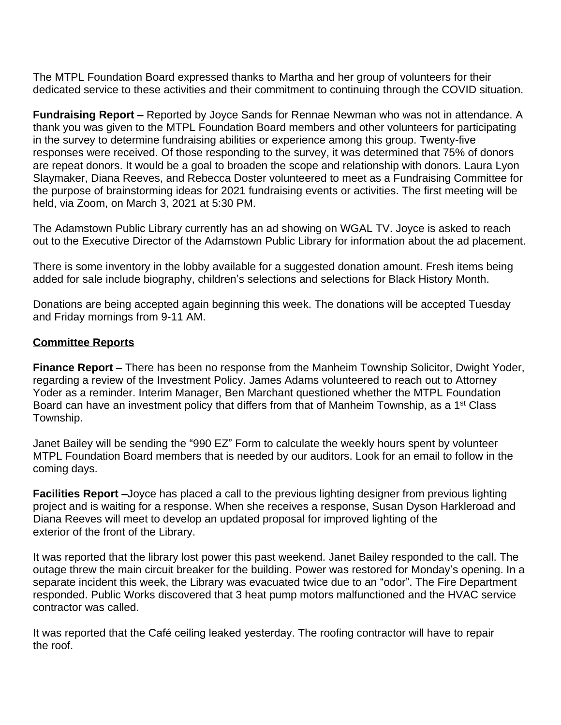The MTPL Foundation Board expressed thanks to Martha and her group of volunteers for their dedicated service to these activities and their commitment to continuing through the COVID situation.

**Fundraising Report –** Reported by Joyce Sands for Rennae Newman who was not in attendance. A thank you was given to the MTPL Foundation Board members and other volunteers for participating in the survey to determine fundraising abilities or experience among this group. Twenty-five responses were received. Of those responding to the survey, it was determined that 75% of donors are repeat donors. It would be a goal to broaden the scope and relationship with donors. Laura Lyon Slaymaker, Diana Reeves, and Rebecca Doster volunteered to meet as a Fundraising Committee for the purpose of brainstorming ideas for 2021 fundraising events or activities. The first meeting will be held, via Zoom, on March 3, 2021 at 5:30 PM.

The Adamstown Public Library currently has an ad showing on WGAL TV. Joyce is asked to reach out to the Executive Director of the Adamstown Public Library for information about the ad placement.

There is some inventory in the lobby available for a suggested donation amount. Fresh items being added for sale include biography, children's selections and selections for Black History Month.

Donations are being accepted again beginning this week. The donations will be accepted Tuesday and Friday mornings from 9-11 AM.

## **Committee Reports**

**Finance Report –** There has been no response from the Manheim Township Solicitor, Dwight Yoder, regarding a review of the Investment Policy. James Adams volunteered to reach out to Attorney Yoder as a reminder. Interim Manager, Ben Marchant questioned whether the MTPL Foundation Board can have an investment policy that differs from that of Manheim Township, as a 1<sup>st</sup> Class Township.

Janet Bailey will be sending the "990 EZ" Form to calculate the weekly hours spent by volunteer MTPL Foundation Board members that is needed by our auditors. Look for an email to follow in the coming days.

**Facilities Report –**Joyce has placed a call to the previous lighting designer from previous lighting project and is waiting for a response. When she receives a response, Susan Dyson Harkleroad and Diana Reeves will meet to develop an updated proposal for improved lighting of the exterior of the front of the Library.

It was reported that the library lost power this past weekend. Janet Bailey responded to the call. The outage threw the main circuit breaker for the building. Power was restored for Monday's opening. In a separate incident this week, the Library was evacuated twice due to an "odor". The Fire Department responded. Public Works discovered that 3 heat pump motors malfunctioned and the HVAC service contractor was called.

It was reported that the Café ceiling leaked yesterday. The roofing contractor will have to repair the roof.